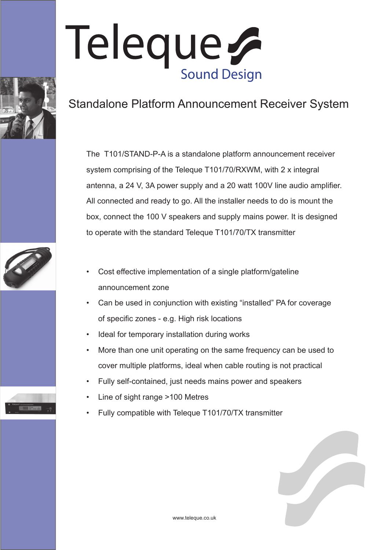# Teleque Sound Design

## Standalone Platform Announcement Receiver System

The T101/STAND-P-A is a standalone platform announcement receiver system comprising of the Teleque T101/70/RXWM, with 2 x integral antenna, a 24 V, 3A power supply and a 20 watt 100V line audio amplifier. All connected and ready to go. All the installer needs to do is mount the box, connect the 100 V speakers and supply mains power. It is designed to operate with the standard Teleque T101/70/TX transmitter

- Cost effective implementation of a single platform/gateline announcement zone
- Can be used in conjunction with existing "installed" PA for coverage of specific zones - e.g. High risk locations
- Ideal for temporary installation during works
- More than one unit operating on the same frequency can be used to cover multiple platforms, ideal when cable routing is not practical
- Fully self-contained, just needs mains power and speakers
- Line of sight range >100 Metres
- Fully compatible with Teleque T101/70/TX transmitter